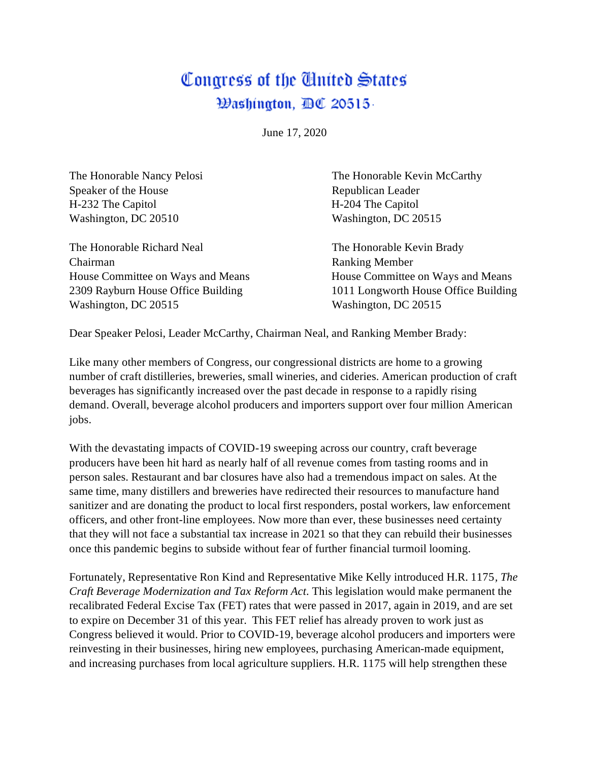## Congress of the Chitted States Đashington, BC 20515-

June 17, 2020

Speaker of the House Republican Leader H-232 The Capitol H-204 The Capitol Washington, DC 20510 Washington, DC 20515

The Honorable Richard Neal The Honorable Kevin Brady Chairman Ranking Member House Committee on Ways and Means House Committee on Ways and Means Washington, DC 20515 Washington, DC 20515

The Honorable Nancy Pelosi **The Honorable Kevin McCarthy** 

2309 Rayburn House Office Building 1011 Longworth House Office Building

Dear Speaker Pelosi, Leader McCarthy, Chairman Neal, and Ranking Member Brady:

Like many other members of Congress, our congressional districts are home to a growing number of craft distilleries, breweries, small wineries, and cideries. American production of craft beverages has significantly increased over the past decade in response to a rapidly rising demand. Overall, beverage alcohol producers and importers support over four million American jobs.

With the devastating impacts of COVID-19 sweeping across our country, craft beverage producers have been hit hard as nearly half of all revenue comes from tasting rooms and in person sales. Restaurant and bar closures have also had a tremendous impact on sales. At the same time, many distillers and breweries have redirected their resources to manufacture hand sanitizer and are donating the product to local first responders, postal workers, law enforcement officers, and other front-line employees. Now more than ever, these businesses need certainty that they will not face a substantial tax increase in 2021 so that they can rebuild their businesses once this pandemic begins to subside without fear of further financial turmoil looming.

Fortunately, Representative Ron Kind and Representative Mike Kelly introduced H.R. 1175*, The Craft Beverage Modernization and Tax Reform Act*. This legislation would make permanent the recalibrated Federal Excise Tax (FET) rates that were passed in 2017, again in 2019, and are set to expire on December 31 of this year. This FET relief has already proven to work just as Congress believed it would. Prior to COVID-19, beverage alcohol producers and importers were reinvesting in their businesses, hiring new employees, purchasing American-made equipment, and increasing purchases from local agriculture suppliers. H.R. 1175 will help strengthen these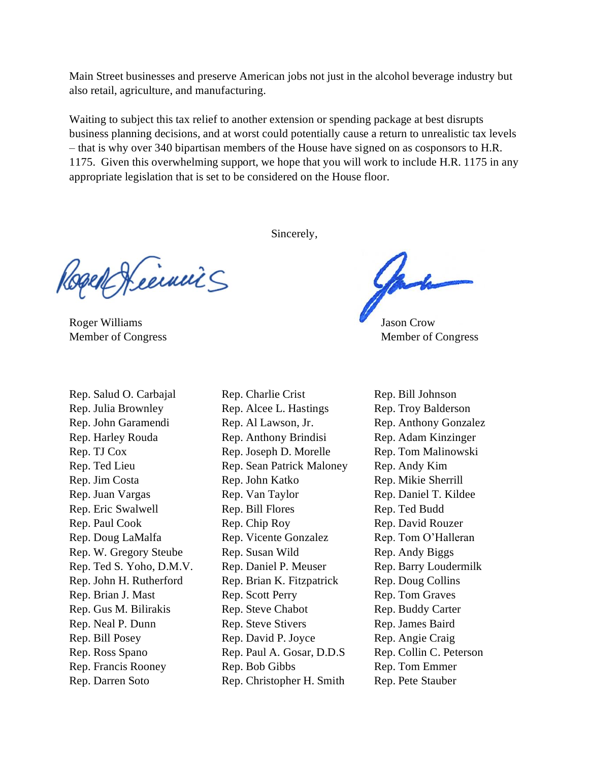Main Street businesses and preserve American jobs not just in the alcohol beverage industry but also retail, agriculture, and manufacturing.

Waiting to subject this tax relief to another extension or spending package at best disrupts business planning decisions, and at worst could potentially cause a return to unrealistic tax levels – that is why over 340 bipartisan members of the House have signed on as cosponsors to H.R. 1175. Given this overwhelming support, we hope that you will work to include H.R. 1175 in any appropriate legislation that is set to be considered on the House floor.

Sincerely,

Rogen Keeinnis

Roger Williams Jason Crow

Rep. Salud O. Carbajal Rep. Julia Brownley Rep. John Garamendi Rep. Harley Rouda Rep. TJ Cox Rep. Ted Lieu Rep. Jim Costa Rep. Juan Vargas Rep. Eric Swalwell Rep. Paul Cook Rep. Doug LaMalfa Rep. W. Gregory Steube Rep. Ted S. Yoho, D.M.V. Rep. John H. Rutherford Rep. Brian J. Mast Rep. Gus M. Bilirakis Rep. Neal P. Dunn Rep. Bill Posey Rep. Ross Spano Rep. Francis Rooney Rep. Darren Soto

Rep. Charlie Crist Rep. Alcee L. Hastings Rep. Al Lawson, Jr. Rep. Anthony Brindisi Rep. Joseph D. Morelle Rep. Sean Patrick Maloney Rep. John Katko Rep. Van Taylor Rep. Bill Flores Rep. Chip Roy Rep. Vicente Gonzalez Rep. Susan Wild Rep. Daniel P. Meuser Rep. Brian K. Fitzpatrick Rep. Scott Perry Rep. Steve Chabot Rep. Steve Stivers Rep. David P. Joyce Rep. Paul A. Gosar, D.D.S Rep. Bob Gibbs Rep. Christopher H. Smith

Member of Congress Member of Congress

Rep. Bill Johnson Rep. Troy Balderson Rep. Anthony Gonzalez Rep. Adam Kinzinger Rep. Tom Malinowski Rep. Andy Kim Rep. Mikie Sherrill Rep. Daniel T. Kildee Rep. Ted Budd Rep. David Rouzer Rep. Tom O'Halleran Rep. Andy Biggs Rep. Barry Loudermilk Rep. Doug Collins Rep. Tom Graves Rep. Buddy Carter Rep. James Baird Rep. Angie Craig Rep. Collin C. Peterson Rep. Tom Emmer Rep. Pete Stauber